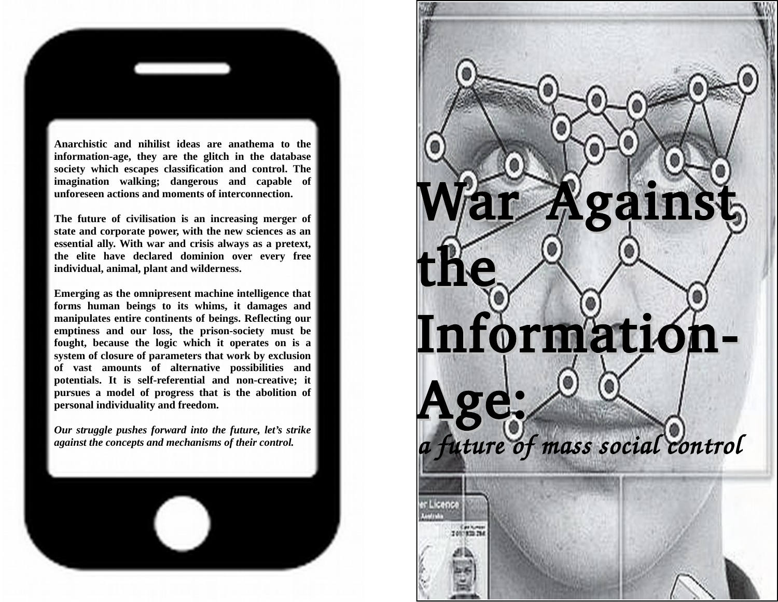

**The future of civilisation is an increasing merger of state and corporate power, with the new sciences as an essential ally. With war and crisis always as a pretext, the elite have declared dominion over every free individual, animal, plant and wilderness.** 

**unforeseen actions and moments of interconnection.** 

**Emerging as the omnipresent machine intelligence that forms human beings to its whims, it damages and manipulates entire continents of beings. Reflecting our emptiness and our loss, the prison-society must be fought, because the logic which it operates on is a system of closure of parameters that work by exclusion of vast amounts of alternative possibilities and potentials. It is self-referential and non-creative; it pursues a model of progress that is the abolition of personal individuality and freedom.** 

*Our struggle pushes forward into the future, let's strike against the concepts and mechanisms of their control.*



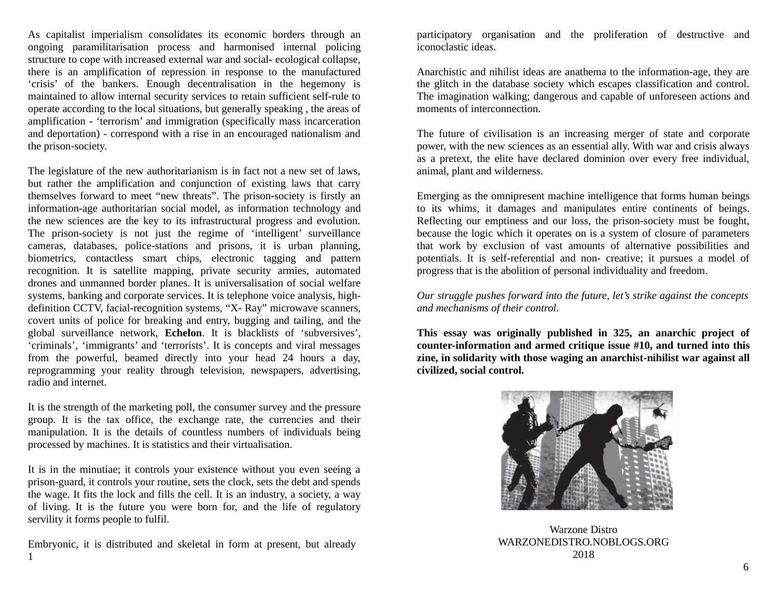As capitalist imperialism consolidates its economic borders through an ongoing paramilitarisation process and harmonised internal policing structure to cope with increased external war and social- ecological collapse, there is an amplification of repression in response to the manufactured 'crisis' of the bankers. Enough decentralisation in the hegemony is maintained to allow internal security services to retain sufficient self-rule to operate according to the local situations, but generally speaking , the areas of amplification - 'terrorism' and immigration (specifically mass incarceration and deportation) - correspond with a rise in an encouraged nationalism and the prison-society.

The legislature of the new authoritarianism is in fact not a new set of laws, but rather the amplification and conjunction of existing laws that carry themselves forward to meet "new threats". The prison-society is firstly an information-age authoritarian social model, as information technology and the new sciences are the key to its infrastructural progress and evolution. The prison-society is not just the regime of 'intelligent' surveillance cameras, databases, police-stations and prisons, it is urban planning, biometrics, contactless smart chips, electronic tagging and pattern recognition. It is satellite mapping, private security armies, automated drones and unmanned border planes. It is universalisation of social welfare systems, banking and corporate services. It is telephone voice analysis, highdefinition CCTV, facial-recognition systems, "X- Ray" microwave scanners, covert units of police for breaking and entry, bugging and tailing, and the global surveillance network, **Echelon**. It is blacklists of 'subversives', 'criminals', 'immigrants' and 'terrorists'. It is concepts and viral messages from the powerful, beamed directly into your head 24 hours a day, reprogramming your reality through television, newspapers, advertising, radio and internet.

It is the strength of the marketing poll, the consumer survey and the pressure group. It is the tax office, the exchange rate, the currencies and their manipulation. It is the details of countless numbers of individuals being processed by machines. It is statistics and their virtualisation.

It is in the minutiae; it controls your existence without you even seeing a prison-guard, it controls your routine, sets the clock, sets the debt and spends the wage. It fits the lock and fills the cell. It is an industry, a society, a way of living. It is the future you were born for, and the life of regulatory servility it forms people to fulfil.

Embryonic, it is distributed and skeletal in form at present, but already 1

participatory organisation and the proliferation of destructive and iconoclastic ideas.

Anarchistic and nihilist ideas are anathema to the information-age, they are the glitch in the database society which escapes classification and control. The imagination walking; dangerous and capable of unforeseen actions and moments of interconnection.

The future of civilisation is an increasing merger of state and corporate power, with the new sciences as an essential ally. With war and crisis always as a pretext, the elite have declared dominion over every free individual, animal, plant and wilderness.

Emerging as the omnipresent machine intelligence that forms human beings to its whims, it damages and manipulates entire continents of beings. Reflecting our emptiness and our loss, the prison-society must be fought, because the logic which it operates on is a system of closure of parameters that work by exclusion of vast amounts of alternative possibilities and potentials. It is self-referential and non- creative; it pursues a model of progress that is the abolition of personal individuality and freedom.

*Our struggle pushes forward into the future, let's strike against the concepts and mechanisms of their control.*

**This essay was originally published in 325, an anarchic project of counter-information and armed critique issue #10, and turned into this zine, in solidarity with those waging an anarchist-nihilist war against all civilized, social control.** 



Warzone Distro WARZONEDISTRO.NOBLOGS.ORG 2018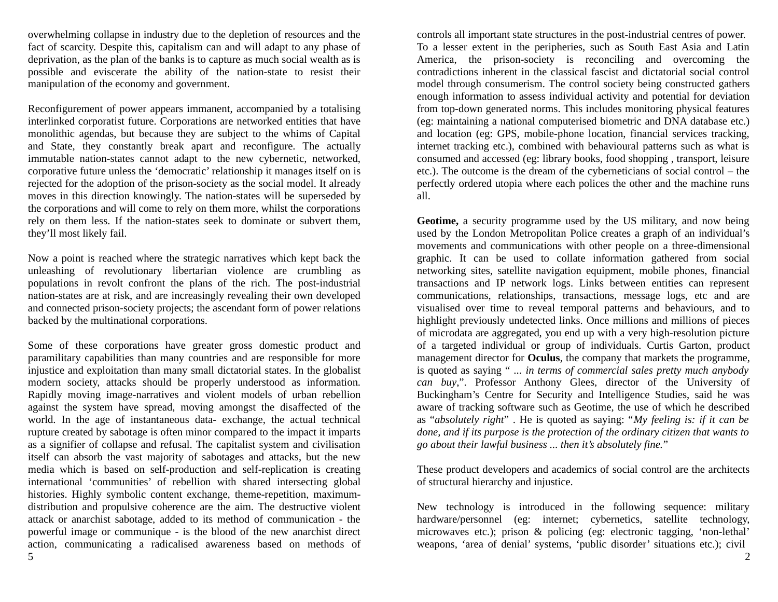overwhelming collapse in industry due to the depletion of resources and the fact of scarcity. Despite this, capitalism can and will adapt to any phase of deprivation, as the plan of the banks is to capture as much social wealth as is possible and eviscerate the ability of the nation-state to resist their manipulation of the economy and government.

Reconfigurement of power appears immanent, accompanied by a totalising interlinked corporatist future. Corporations are networked entities that have monolithic agendas, but because they are subject to the whims of Capital and State, they constantly break apart and reconfigure. The actually immutable nation-states cannot adapt to the new cybernetic, networked, corporative future unless the 'democratic' relationship it manages itself on is rejected for the adoption of the prison-society as the social model. It already moves in this direction knowingly. The nation-states will be superseded by the corporations and will come to rely on them more, whilst the corporations rely on them less. If the nation-states seek to dominate or subvert them, they'll most likely fail.

Now a point is reached where the strategic narratives which kept back the unleashing of revolutionary libertarian violence are crumbling as populations in revolt confront the plans of the rich. The post-industrial nation-states are at risk, and are increasingly revealing their own developed and connected prison-society projects; the ascendant form of power relations backed by the multinational corporations.

Some of these corporations have greater gross domestic product and paramilitary capabilities than many countries and are responsible for more injustice and exploitation than many small dictatorial states. In the globalist modern society, attacks should be properly understood as information. Rapidly moving image-narratives and violent models of urban rebellion against the system have spread, moving amongst the disaffected of the world. In the age of instantaneous data- exchange, the actual technical rupture created by sabotage is often minor compared to the impact it imparts as a signifier of collapse and refusal. The capitalist system and civilisation itself can absorb the vast majority of sabotages and attacks, but the new media which is based on self-production and self-replication is creating international 'communities' of rebellion with shared intersecting global histories. Highly symbolic content exchange, theme-repetition, maximumdistribution and propulsive coherence are the aim. The destructive violent attack or anarchist sabotage, added to its method of communication - the powerful image or communique - is the blood of the new anarchist direct action, communicating a radicalised awareness based on methods of controls all important state structures in the post-industrial centres of power. To a lesser extent in the peripheries, such as South East Asia and Latin America, the prison-society is reconciling and overcoming the contradictions inherent in the classical fascist and dictatorial social control model through consumerism. The control society being constructed gathers enough information to assess individual activity and potential for deviation from top-down generated norms. This includes monitoring physical features (eg: maintaining a national computerised biometric and DNA database etc.) and location (eg: GPS, mobile-phone location, financial services tracking, internet tracking etc.), combined with behavioural patterns such as what is consumed and accessed (eg: library books, food shopping , transport, leisure etc.). The outcome is the dream of the cyberneticians of social control – the perfectly ordered utopia where each polices the other and the machine runs all.

**Geotime,** a security programme used by the US military, and now being used by the London Metropolitan Police creates a graph of an individual's movements and communications with other people on a three-dimensional graphic. It can be used to collate information gathered from social networking sites, satellite navigation equipment, mobile phones, financial transactions and IP network logs. Links between entities can represent communications, relationships, transactions, message logs, etc and are visualised over time to reveal temporal patterns and behaviours, and to highlight previously undetected links. Once millions and millions of pieces of microdata are aggregated, you end up with a very high-resolution picture of a targeted individual or group of individuals. Curtis Garton, product management director for **Oculus**, the company that markets the programme, is quoted as saying " *... in terms of commercial sales pretty much anybody can buy*,". Professor Anthony Glees, director of the University of Buckingham's Centre for Security and Intelligence Studies, said he was aware of tracking software such as Geotime, the use of which he described as "*absolutely right*" . He is quoted as saying: "*My feeling is: if it can be done, and if its purpose is the protection of the ordinary citizen that wants to go about their lawful business ... then it's absolutely fine.*"

These product developers and academics of social control are the architects of structural hierarchy and injustice.

New technology is introduced in the following sequence: military hardware/personnel (eg: internet; cybernetics, satellite technology, microwaves etc.); prison & policing (eg: electronic tagging, 'non-lethal' weapons, 'area of denial' systems, 'public disorder' situations etc.); civil